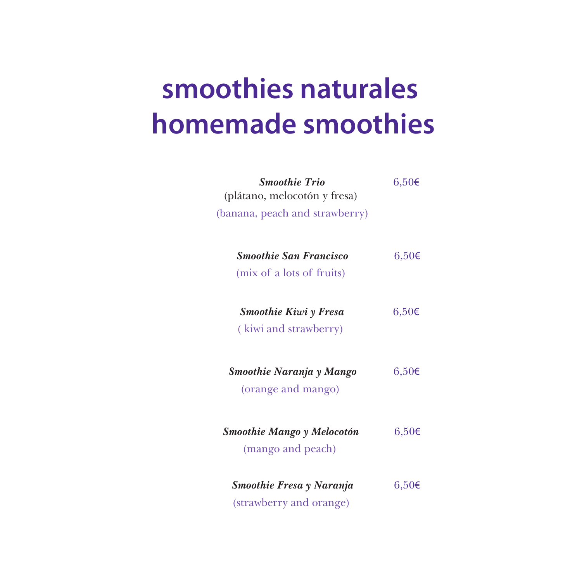## **smoothies naturales homemade smoothies**

| <b>Smoothie Trio</b><br>(plátano, melocotón y fresa)<br>(banana, peach and strawberry) | $6,50 \in$ |
|----------------------------------------------------------------------------------------|------------|
| <b>Smoothie San Francisco</b><br>(mix of a lots of fruits)                             | $6,50 \in$ |
| <b>Smoothie Kiwi γ Fresa</b><br>(kiwi and strawberry)                                  | $6,50 \in$ |
| Smoothie Naranja y Mango<br>(orange and mango)                                         | $6,50 \in$ |
| <b>Smoothie Mango y Melocotón</b><br>(mango and peach)                                 | $6,50 \in$ |
| Smoothie Fresa y Naranja<br>(strawberry and orange)                                    | $6,50 \in$ |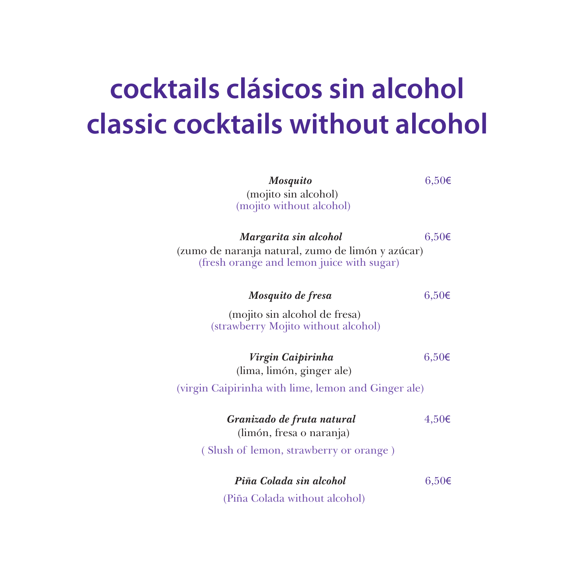# **cocktails clásicos sin alcohol classic cocktails without alcohol**

| <b>Mosquito</b><br>(mojito sin alcohol)<br>(mojito without alcohol)                                                     | $6,50 \in$ |
|-------------------------------------------------------------------------------------------------------------------------|------------|
| Margarita sin alcohol<br>(zumo de naranja natural, zumo de limón y azúcar)<br>(fresh orange and lemon juice with sugar) | $6,50 \in$ |
| Mosquito de fresa                                                                                                       | $6,50 \in$ |
| (mojito sin alcohol de fresa)<br>(strawberry Mojito without alcohol)                                                    |            |
| Virgin Caipirinha<br>(lima, limón, ginger ale)                                                                          | $6,50 \in$ |
| (virgin Caipirinha with lime, lemon and Ginger ale)                                                                     |            |
| Granizado de fruta natural<br>(limón, fresa o naranja)                                                                  | $4,50 \in$ |
| (Slush of lemon, strawberry or orange)                                                                                  |            |
| Piña Colada sin alcohol                                                                                                 | $6,50 \in$ |
| (Piña Colada without alcohol)                                                                                           |            |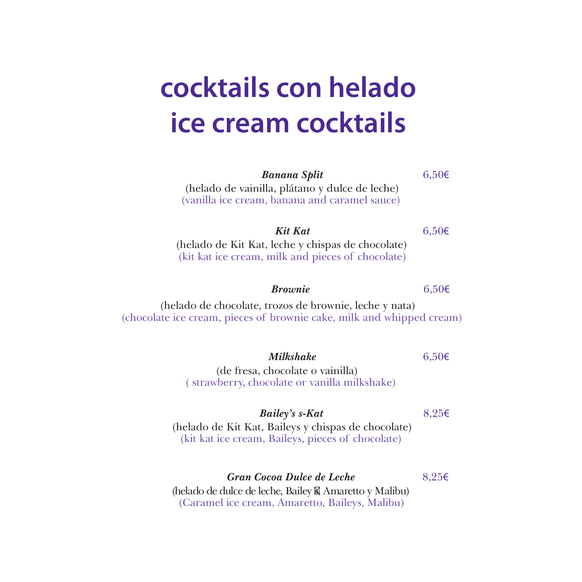# **cocktails con helado ice cream cocktails**

| <b>Banana Split</b>                                                                                                                    | $6,50 \in$ |
|----------------------------------------------------------------------------------------------------------------------------------------|------------|
| (helado de vainilla, plátano y dulce de leche)<br>(vanilla ice cream, banana and caramel sauce)                                        |            |
| <b>Kit Kat</b><br>(helado de Kit Kat, leche y chispas de chocolate)<br>(kit kat ice cream, milk and pieces of chocolate)               | $6,50 \in$ |
| <b><i>Brownie</i></b>                                                                                                                  | $6,50 \in$ |
| (helado de chocolate, trozos de brownie, leche y nata)<br>(chocolate ice cream, pieces of brownie cake, milk and whipped cream)        |            |
| Milkshake<br>(de fresa, chocolate o vainilla)<br>(strawberry, chocolate or vanilla milkshake)                                          | $6,50 \in$ |
| Bailey's s-Kat<br>(helado de Kit Kat, Baileys y chispas de chocolate)<br>(kit kat ice cream, Baileys, pieces of chocolate)             | $8,25 \in$ |
| Gran Cocoa Dulce de Leche<br>(helado de dulce de leche, Bailey s, Amaretto y Malibu)<br>(Caramel ice cream, Amaretto, Baileys, Malibu) | $8,25 \in$ |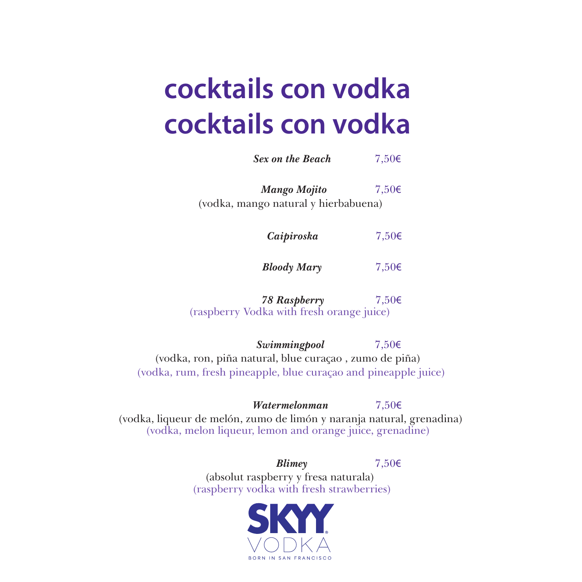# **cocktails con vodka cocktails con vodka**

*Sex on the Beach* 7,50€

*Mango Mojito* 7,50€ (vodka, mango natural y hierbabuena)

*Caipiroska* 7,50€

*Bloody Mary* 7,50€

*78 Raspberry* 7,50€ (raspberry Vodka with fresh orange juice)

*Swimmingpool* 7,50€ (vodka, ron, piña natural, blue curaçao , zumo de piña) (vodka, rum, fresh pineapple, blue curaçao and pineapple juice)

*Watermelonman* 7,50€ (vodka, liqueur de melón, zumo de limón y naranja natural, grenadina) (vodka, melon liqueur, lemon and orange juice, grenadine)

> *Blimey* 7,50€ (absolut raspberry y fresa naturala) (raspberry vodka with fresh strawberries)

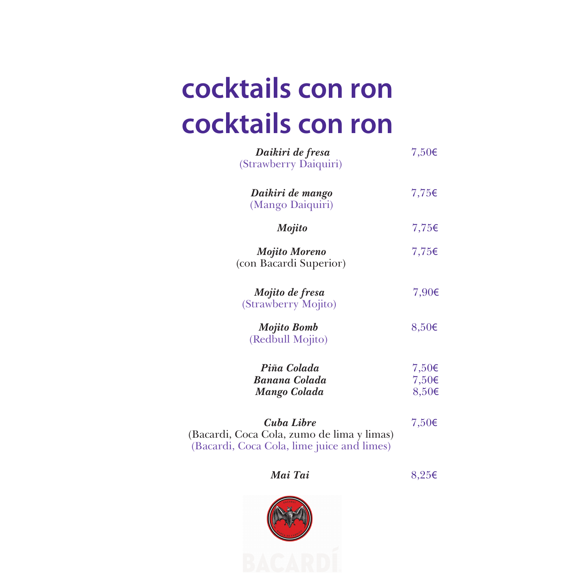# **cocktails con ron cocktails con ron**

| Daikiri de fresa<br>(Strawberry Daiquiri)                                                              | 7,50 $\epsilon$                        |
|--------------------------------------------------------------------------------------------------------|----------------------------------------|
| Daikiri de mango<br>(Mango Daiquiri)                                                                   | 7,75€                                  |
| <b>Mojito</b>                                                                                          | 7,75€                                  |
| <b>Mojito Moreno</b><br>(con Bacardi Superior)                                                         | 7,75€                                  |
| Mojito de fresa<br>(Strawberry Mojito)                                                                 | 7,90€                                  |
| <b>Mojito Bomb</b><br>(Redbull Mojito)                                                                 | $8,50 \in$                             |
| Piña Colada<br><b>Banana Colada</b><br><b>Mango Colada</b>                                             | 7,50€<br>7,50 $\epsilon$<br>$8,50 \in$ |
| Cuba Libre<br>(Bacardi, Coca Cola, zumo de lima y limas)<br>(Bacardi, Coca Cola, lime juice and limes) | 7,50€                                  |

#### *Mai Tai* 8,25€

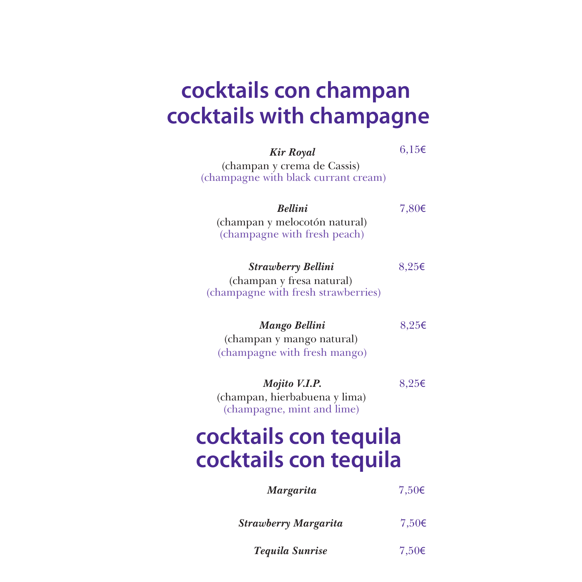#### **cocktails con champan cocktails with champagne**

| <b>Kir Royal</b>                                                    | $6,15 \in$      |
|---------------------------------------------------------------------|-----------------|
| (champan y crema de Cassis)<br>(champagne with black currant cream) |                 |
| <b>Rellini</b>                                                      | 7,80€           |
| (champan y melocotón natural)<br>(champagne with fresh peach)       |                 |
| <b>Strawberry Bellini</b>                                           | 8,25€           |
| (champan y fresa natural)<br>(champagne with fresh strawberries)    |                 |
| <b>Mango Bellini</b>                                                | 8,25€           |
| (champan y mango natural)                                           |                 |
| (champagne with fresh mango)                                        |                 |
| Mojito V.I.P.                                                       | 8,25€           |
| (champan, hierbabuena y lima)<br>(champagne, mint and lime)         |                 |
| cocktails con tequila                                               |                 |
| cocktails con tequila                                               |                 |
| <b>Margarita</b>                                                    | 7,50 $\epsilon$ |
| Strawberry Margarita                                                | $7,50 \in$      |
| <b>Tequila Sunrise</b>                                              | 7,50€           |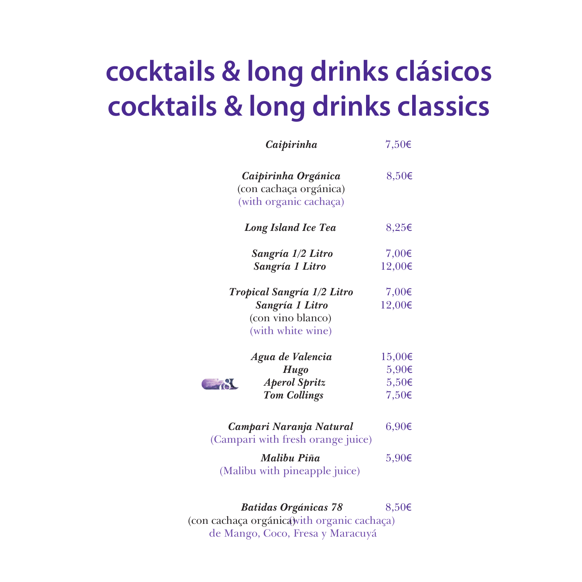# **cocktails & long drinks clásicos cocktails & long drinks classics**

| Caipirinha                                                                              | 7,50 $\epsilon$                                       |  |
|-----------------------------------------------------------------------------------------|-------------------------------------------------------|--|
| Caipirinha Orgánica<br>(con cachaça orgánica)<br>(with organic cachaça)                 | $8,50 \in$                                            |  |
| <b>Long Island Ice Tea</b>                                                              | 8,25€                                                 |  |
| Sangría 1/2 Litro<br>Sangría 1 Litro                                                    | 7,00 $\epsilon$<br>12,00€                             |  |
| Tropical Sangría 1/2 Litro<br>Sangría 1 Litro<br>(con vino blanco)<br>(with white wine) | 7,00 $\epsilon$<br>12,00€                             |  |
| Agua de Valencia<br><b>Hugo</b><br><b>Aperol Spritz</b><br><b>Tom Collings</b>          | 15,00€<br>$5,90 \in$<br>$5,50 \in$<br>7,50 $\epsilon$ |  |
| Campari Naranja Natural<br>(Campari with fresh orange juice)                            | $6,90 \in$                                            |  |
| Malibu Piña<br>(Malibu with pineapple juice)                                            | $5,90 \in$                                            |  |
|                                                                                         |                                                       |  |

*Batidas Orgánicas 78* 8,50€ (con cachaça orgánica) with organic cachaça) de Mango, Coco, Fresa y Maracuyá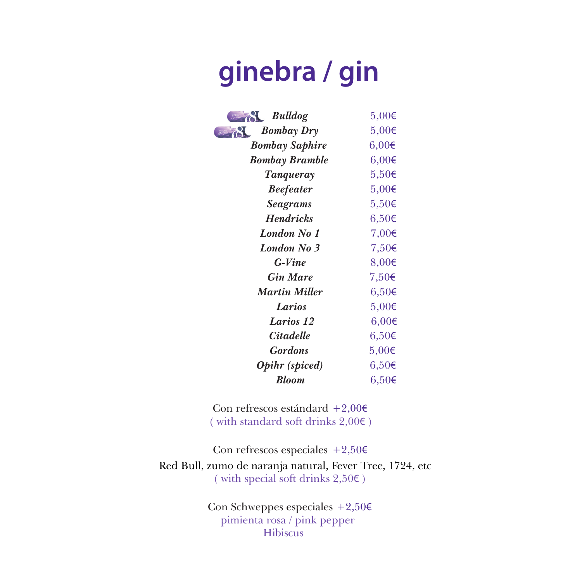### **ginebra / gin**

| <b>Bulldog</b>        | $5,00 \in$ |
|-----------------------|------------|
| <b>Bombay Dry</b>     | $5,00 \in$ |
| <b>Bombay Saphire</b> | $6,00 \in$ |
| <b>Bombay Bramble</b> | $6,00 \in$ |
| Tanqueray             | $5,50 \in$ |
| <b>Beefeater</b>      | $5,00 \in$ |
| <b>Seagrams</b>       | $5,50 \in$ |
| <b>Hendricks</b>      | $6,50 \in$ |
| London No 1           | 7,00 $\in$ |
| <b>London No 3</b>    | $7,50 \in$ |
| $G-Vine$              | 8,00€      |
| <b>Gin Mare</b>       | 7,50€      |
| <b>Martin Miller</b>  | $6,50 \in$ |
| Larios                | $5,00 \in$ |
| Larios 12             | $6,00 \in$ |
| <b>Citadelle</b>      | $6,50 \in$ |
| <b>Gordons</b>        | $5,00 \in$ |
| <b>Opihr</b> (spiced) | 6,50€      |
| <b>Bloom</b>          | $6,50 \in$ |

Con refrescos estándard +2,00€ ( with standard soft drinks 2,00€ )

Con refrescos especiales  $+2,50 \in$ Red Bull, zumo de naranja natural, Fever Tree, 1724, etc ( with special soft drinks 2,50€ )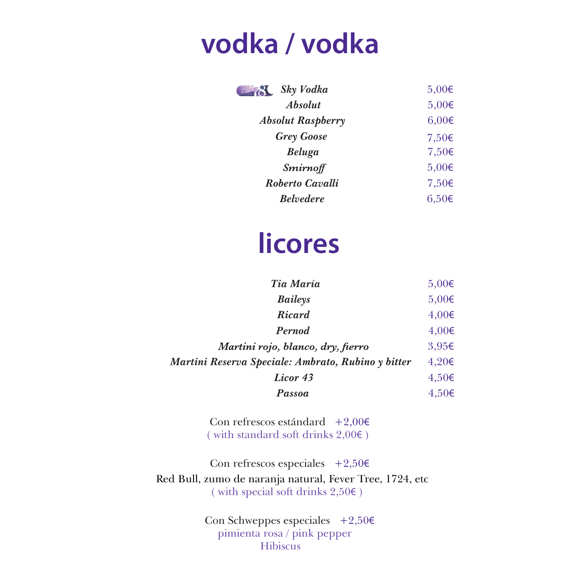#### **vodka / vodka**

| Sky Vodka<br>sabones     | $5,00 \in$      |
|--------------------------|-----------------|
| <i><b>Absolut</b></i>    | $5,00 \in$      |
| <b>Absolut Raspberry</b> | $6,00 \in$      |
| <b>Grey Goose</b>        | 7,50 $\epsilon$ |
| <b>Beluga</b>            | 7,50 $\epsilon$ |
| <b>Smirnoff</b>          | $5,00 \in$      |
| Roberto Cavalli          | 7,50 $\epsilon$ |
| <b>Belvedere</b>         | $6.50\epsilon$  |

#### **licores**

| Tia María                                          | $5,00 \in$ |
|----------------------------------------------------|------------|
| Baileys                                            | $5,00 \in$ |
| Ricard                                             | $4,00 \in$ |
| Pernod                                             | $4,00 \in$ |
| Martini rojo, blanco, dry, fierro                  | 3,95€      |
| Martini Reserva Speciale: Ambrato, Rubino y bitter | $4,20 \in$ |
| Licor 43                                           | $4,50 \in$ |
| Passoa                                             | $4,50 \in$ |

Con refrescos estándard  $+2,00 \in$ ( with standard soft drinks  $2,00 \in$  )

Con refrescos especiales  $+2,50 \in$ Red Bull, zumo de naranja natural, Fever Tree, 1724, etc ( with special soft drinks  $2,50 \in$  )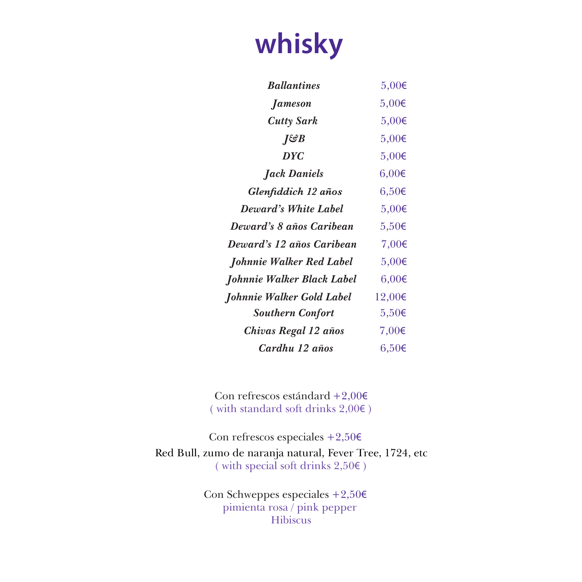## **whisky**

| <b>Ballantines</b>         | $5,00 \in$ |
|----------------------------|------------|
| <i>Jameson</i>             | $5,00 \in$ |
| <b>Cutty Sark</b>          | $5,00 \in$ |
| ∏&B                        | $5,00 \in$ |
| <b>DYC</b>                 | $5,00 \in$ |
| <b>Jack Daniels</b>        | $6,00 \in$ |
| Glenfiddich 12 años        | $6,50 \in$ |
| Deward's White Label       | $5,00 \in$ |
| Deward's 8 años Caribean   | $5,50 \in$ |
| Deward's 12 años Caribean  | 7,00€      |
| Johnnie Walker Red Label   | $5,00 \in$ |
| Johnnie Walker Black Label | $6,00 \in$ |
| Johnnie Walker Gold Label  | 12,00€     |
| <b>Southern Confort</b>    | $5,50 \in$ |
| Chivas Regal 12 años       | 7,00€      |
| Cardhu 12 años             | 6,50€      |

Con refrescos estándard +2,00€ ( with standard soft drinks 2,00€ )

Con refrescos especiales  $+2,50 \in$ Red Bull, zumo de naranja natural, Fever Tree, 1724, etc ( with special soft drinks 2,50€ )